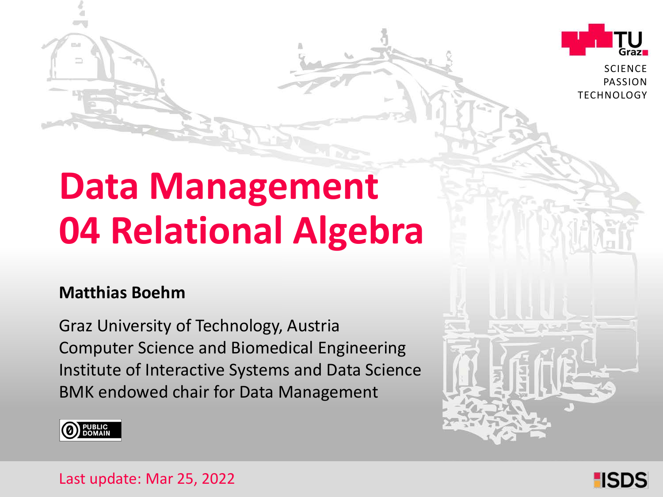

**SCIENCE** PASSION **TECHNOLOGY** 

# **Data Management 04 Relational Algebra**

#### **Matthias Boehm**

Graz University of Technology, Austria Institute of Interactive Systems and Data Science Computer Science and Biomedical Engineering BMK endowed chair for Data Management



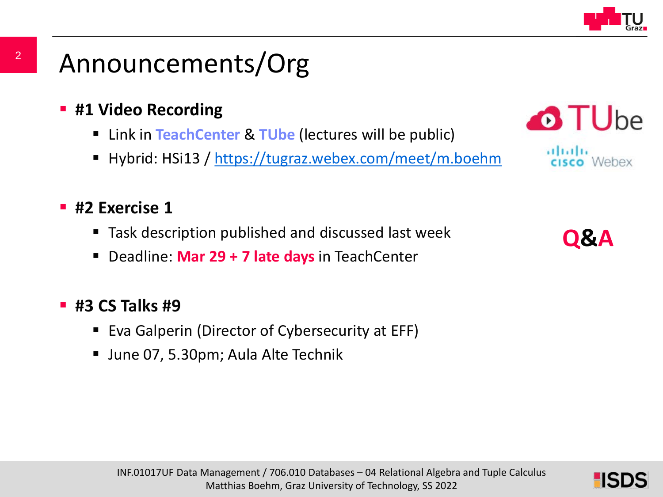

### Announcements/Org

- **#1 Video Recording** 
	- Link in **TeachCenter** & **TUbe** (lectures will be public)
	- Hybrid: HSi13 / <https://tugraz.webex.com/meet/m.boehm>

#### **#2 Exercise 1**

- Task description published and discussed last week
- Deadline: **Mar 29 + 7 late days** in TeachCenter

#### **#3 CS Talks #9**

- Eva Galperin (Director of Cybersecurity at EFF)
- June 07, 5.30pm; Aula Alte Technik



2

**Q&A**

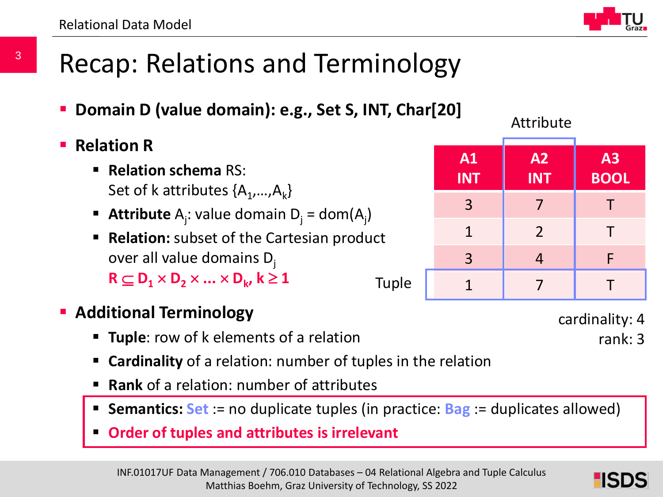### Recap: Relations and Terminology

- **Domain D (value domain): e.g., Set S, INT, Char[20]**
- **Relation R**

3

- **Relation schema** RS: Set of k attributes  $\{A_1,...,A_k\}$
- **Attribute**  $A_j$ : value domain  $D_j = dom(A_j)$
- **Relation:** subset of the Cartesian product over all value domains  $D_i$  $R \subset D_1 \times D_2 \times ... \times D_k$ ,  $k \ge 1$ Tuple
- **Additional Terminology** 
	- **Tuple**: row of k elements of a relation
	- **Cardinality** of a relation: number of tuples in the relation
	- **Rank** of a relation: number of attributes
	- **Semantics: Set** := no duplicate tuples (in practice: **Bag** := duplicates allowed)
	- **Order of tuples and attributes is irrelevant**



cardinality: 4

rank: 3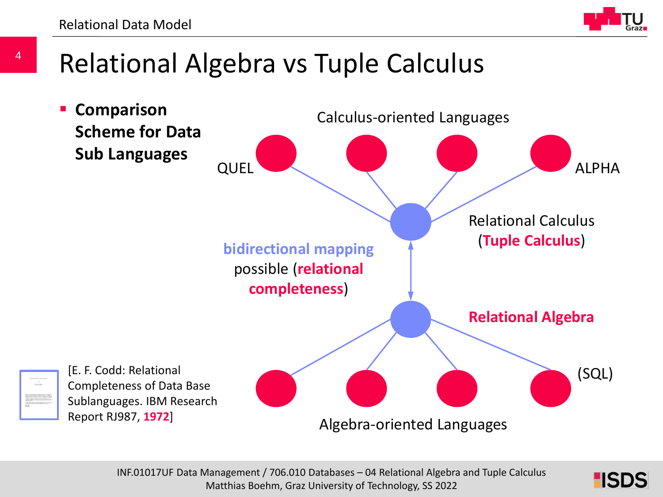

### Relational Algebra vs Tuple Calculus



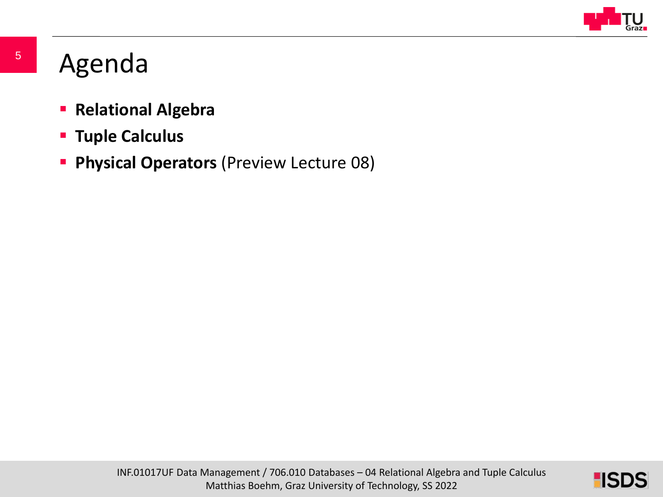

### Agenda

- **Relational Algebra**
- **Tuple Calculus**
- **Physical Operators** (Preview Lecture 08)

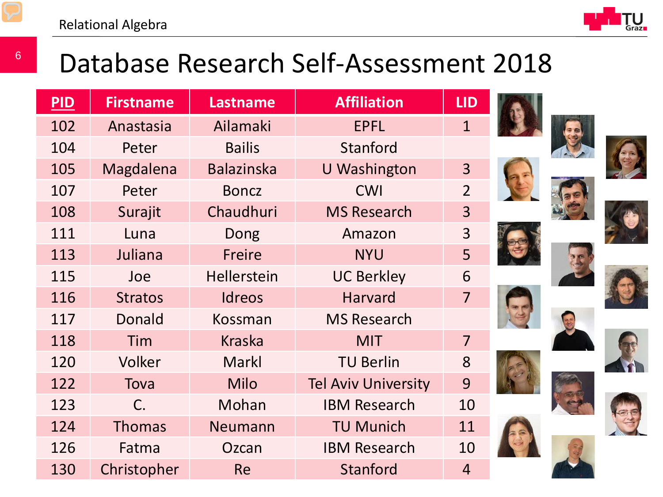

### Database Research Self-Assessment 2018

| PID | <b>Firstname</b> | <b>Lastname</b>    | <b>Affiliation</b>         | <b>LID</b>     |  |
|-----|------------------|--------------------|----------------------------|----------------|--|
| 102 | Anastasia        | Ailamaki           | <b>EPFL</b>                | $\mathbf{1}$   |  |
| 104 | Peter            | <b>Bailis</b>      | Stanford                   |                |  |
| 105 | Magdalena        | <b>Balazinska</b>  | <b>U</b> Washington        | 3              |  |
| 107 | Peter            | <b>Boncz</b>       | <b>CWI</b>                 | $\overline{2}$ |  |
| 108 | Surajit          | Chaudhuri          | <b>MS Research</b>         | 3              |  |
| 111 | Luna             | Dong               | Amazon                     | 3              |  |
| 113 | Juliana          | <b>Freire</b>      | <b>NYU</b>                 | 5              |  |
| 115 | Joe              | <b>Hellerstein</b> | <b>UC Berkley</b>          | 6              |  |
| 116 | <b>Stratos</b>   | <b>Idreos</b>      | <b>Harvard</b>             | $\overline{7}$ |  |
| 117 | <b>Donald</b>    | Kossman            | <b>MS Research</b>         |                |  |
| 118 | Tim              | <b>Kraska</b>      | <b>MIT</b>                 | $\overline{7}$ |  |
| 120 | Volker           | <b>Markl</b>       | <b>TU Berlin</b>           | 8              |  |
| 122 | Tova             | <b>Milo</b>        | <b>Tel Aviv University</b> | 9              |  |
| 123 | $\mathsf{C}$ .   | Mohan              | <b>IBM Research</b>        | 10             |  |
| 124 | <b>Thomas</b>    | <b>Neumann</b>     | <b>TU Munich</b>           | 11             |  |
| 126 | Fatma            | Ozcan              | <b>IBM Research</b>        | 10             |  |
| 130 | Christopher      | <b>Re</b>          | <b>Stanford</b>            | $\overline{4}$ |  |















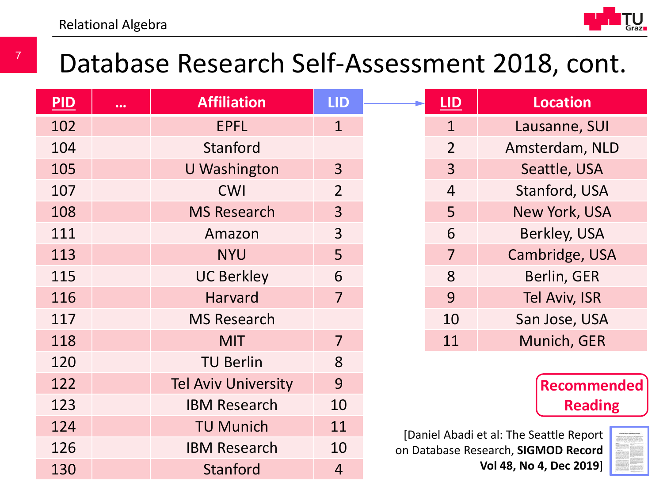

### Database Research Self-Assessment 2018, cont.

| PID | $\cdots$ | <b>Affiliation</b>         | <b>LID</b>     | <b>LID</b>     | <b>Location</b>                         |
|-----|----------|----------------------------|----------------|----------------|-----------------------------------------|
| 102 |          | <b>EPFL</b>                | $\mathbf{1}$   | $\mathbf{1}$   | Lausanne, SUI                           |
| 104 |          | Stanford                   |                | $\overline{2}$ | Amsterdam, NLD                          |
| 105 |          | U Washington               | $\overline{3}$ | $\overline{3}$ | Seattle, USA                            |
| 107 |          | <b>CWI</b>                 | $\overline{2}$ | $\overline{4}$ | Stanford, USA                           |
| 108 |          | <b>MS Research</b>         | $\overline{3}$ | 5              | New York, USA                           |
| 111 |          | Amazon                     | $\overline{3}$ | 6              | Berkley, USA                            |
| 113 |          | <b>NYU</b>                 | 5              | $\overline{7}$ | Cambridge, USA                          |
| 115 |          | <b>UC Berkley</b>          | 6              | 8              | Berlin, GER                             |
| 116 |          | <b>Harvard</b>             | $\overline{7}$ | 9              | <b>Tel Aviv, ISR</b>                    |
| 117 |          | <b>MS Research</b>         |                | 10             | San Jose, USA                           |
| 118 |          | <b>MIT</b>                 | $\overline{7}$ | 11             | Munich, GER                             |
| 120 |          | <b>TU Berlin</b>           | 8              |                |                                         |
| 122 |          | <b>Tel Aviv University</b> | 9              |                | <b>Recommended</b>                      |
| 123 |          | <b>IBM Research</b>        | 10             |                | <b>Reading</b>                          |
| 124 |          | <b>TU Munich</b>           | 11             |                | [Daniel Abadi et al: The Seattle Report |
| 126 |          | <b>IBM Research</b>        | 10             |                | on Database Research, SIGMOD Record     |
| 130 |          | Stanford                   | $\overline{4}$ |                | Vol 48, No 4, Dec 2019]                 |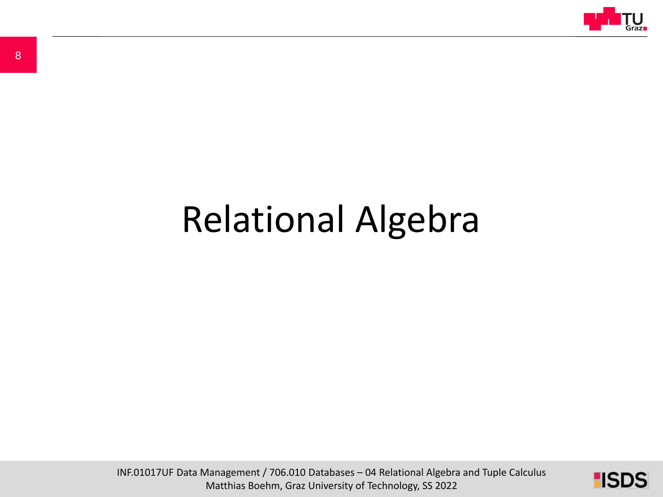

# Relational Algebra

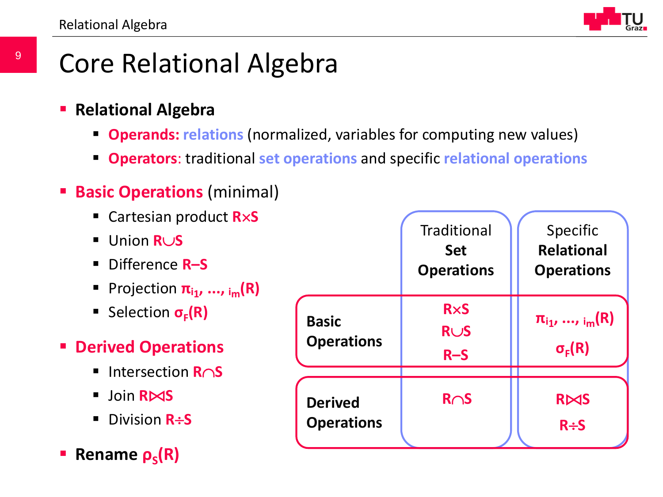### Core Relational Algebra

- **Relational Algebra**
	- **Operands: relations** (normalized, variables for computing new values)
	- **Operators**: traditional **set operations** and specific **relational operations**
- **Basic Operations (minimal)** 
	- Cartesian product **R**×**S**
	- Union **R**∪**S**
	- Difference **R–S**
	- **Projection**  $\pi_{i1}, ..., \pi_{im}(R)$
	- Selection **σ<sub>F</sub>(R)**
- **Derived Operations**
	- Intersection **R**∩**S**
	- Join **R**⊠S
	- Division **R**÷S
- **Rename**  $ρ_s(R)$

|                                     | <b>Traditional</b><br><b>Set</b><br><b>Operations</b> | Specific<br><b>Relational</b><br><b>Operations</b> |
|-------------------------------------|-------------------------------------------------------|----------------------------------------------------|
| <b>Basic</b><br><b>Operations</b>   | <b>RxS</b><br><b>RUS</b><br>$R-S$                     | $\pi_{i_1}, , i_m(R)$<br>$\sigma_{\rm E}(R)$       |
| <b>Derived</b><br><b>Operations</b> | $R \cap S$                                            | <b>RAS</b><br>$R \div S$                           |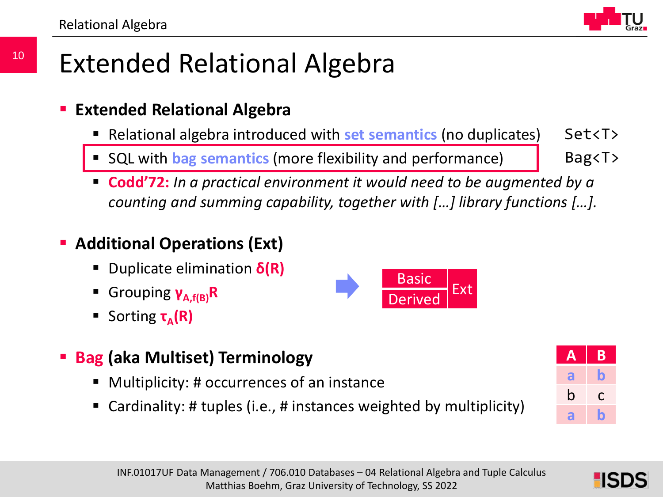

### Extended Relational Algebra

#### **Extended Relational Algebra**

- Relational algebra introduced with **set semantics** (no duplicates) Set<T>
- SQL with **bag semantics** (more flexibility and performance)

 **Codd'72:** *In a practical environment it would need to be augmented by a counting and summing capability, together with […] library functions […].*

#### **Additional Operations (Ext)**

- Duplicate elimination **δ(R)**
- Grouping **γA,f(B)R**
- Sorting **τ<sub>Δ</sub>(R)**
- Basic Derived<sup>Ext</sup>
- **Bag (aka Multiset) Terminology**
	- Multiplicity: # occurrences of an instance
	- Cardinality: # tuples (i.e., # instances weighted by multiplicity)



Bag<T>



10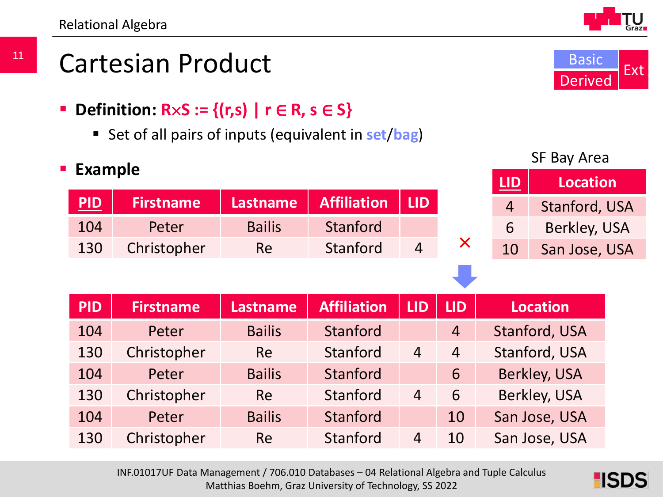### Cartesian Product

- **Definition:**  $R \times S := \{(r,s) | r \in R, s \in S\}$ 
	- Set of all pairs of inputs (equivalent in **set**/**bag**)

**PID Firstname Lastname Affiliation LID**

130 Christopher Re Stanford 4

104 Peter Bailis Stanford

#### **Example**

| <b>PID</b> | <b>Firstname</b> | <b>Lastname</b> | <b>Affiliation</b> | <b>LID</b>     | <b>LID</b>     | <b>Location</b>     |
|------------|------------------|-----------------|--------------------|----------------|----------------|---------------------|
| 104        | Peter            | <b>Bailis</b>   | Stanford           |                | $\overline{4}$ | Stanford, USA       |
| 130        | Christopher      | <b>Re</b>       | Stanford           | $\overline{4}$ | $\overline{4}$ | Stanford, USA       |
| 104        | Peter            | <b>Bailis</b>   | Stanford           |                | 6              | <b>Berkley, USA</b> |
| 130        | Christopher      | <b>Re</b>       | Stanford           | $\overline{4}$ | 6              | Berkley, USA        |
| 104        | Peter            | <b>Bailis</b>   | Stanford           |                | 10             | San Jose, USA       |
| 130        | Christopher      | <b>Re</b>       | Stanford           | $\overline{4}$ | 10             | San Jose, USA       |

INF.01017UF Data Management / 706.010 Databases – 04 Relational Algebra and Tuple Calculus Matthias Boehm, Graz University of Technology, SS 2022

SF Bay Area

4 Stanford, USA

6 Berkley, USA

10 San Jose, USA

×

**LID Location**



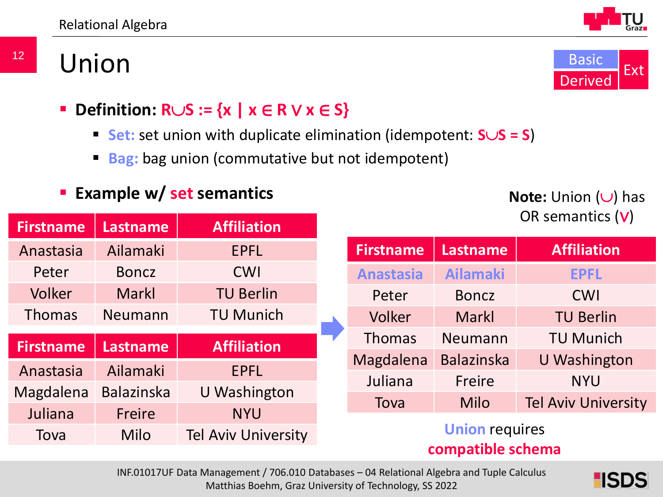### Union



- **Definition: R**∪**S := {x | x** ∈ **R** ∨ **x** ∈ **S}**
	- **Set:** set union with duplicate elimination (idempotent: **S**∪**S = S**)
	- **Bag:** bag union (commutative but not idempotent)

#### **Example w/ set semantics**

**Note:** Union (∪) has OR semantics (∨)

| <b>Firstname</b> | <b>Lastname</b>   | <b>Affiliation</b> |                  |                               |                            |
|------------------|-------------------|--------------------|------------------|-------------------------------|----------------------------|
| Anastasia        | Ailamaki          | <b>EPFL</b>        | <b>Firstname</b> | <b>Lastname</b>               | <b>Affiliation</b>         |
| Peter            | <b>Boncz</b>      | <b>CWI</b>         | <b>Anastasia</b> | <b>Ailamaki</b>               | <b>EPFL</b>                |
| <b>Volker</b>    | <b>Markl</b>      | <b>TU Berlin</b>   | Peter            | <b>Boncz</b>                  | <b>CWI</b>                 |
| <b>Thomas</b>    | <b>Neumann</b>    | <b>TU Munich</b>   | Volker           | <b>Markl</b>                  | <b>TU Berlin</b>           |
|                  |                   |                    |                  |                               |                            |
|                  |                   |                    | <b>Thomas</b>    | Neumann                       | <b>TU Munich</b>           |
| <b>Firstname</b> | <b>Lastname</b>   | <b>Affiliation</b> | Magdalena        | <b>Balazinska</b>             | <b>U</b> Washington        |
| Anastasia        | Ailamaki          | <b>EPFL</b>        | Juliana          | Freire                        | <b>NYU</b>                 |
| Magdalena        | <b>Balazinska</b> | U Washington       |                  |                               |                            |
| Juliana          | Freire            | <b>NYU</b>         | Tova             | Milo<br><b>Union requires</b> | <b>Tel Aviv University</b> |

#### **compatible schema**

INF.01017UF Data Management / 706.010 Databases – 04 Relational Algebra and Tuple Calculus Matthias Boehm, Graz University of Technology, SS 2022

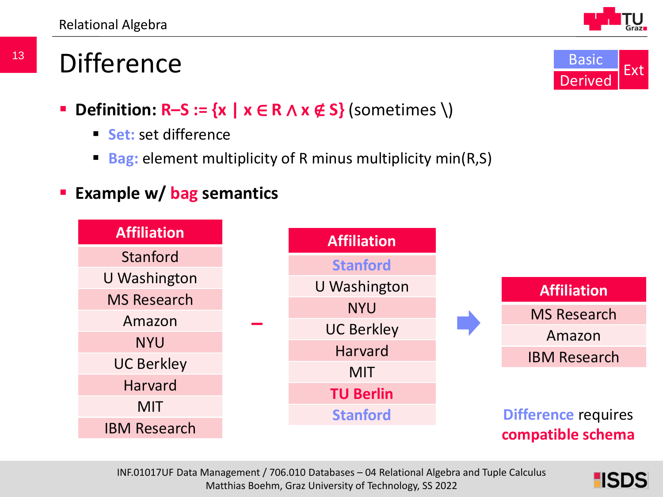### **Difference**

- **Definition: R–S := {x |**  $x \in R \wedge x \notin S$ **} (sometimes \)** 
	- **Set:** set difference
	- **Bag:** element multiplicity of R minus multiplicity min(R,S)
- **Example w/ bag semantics**







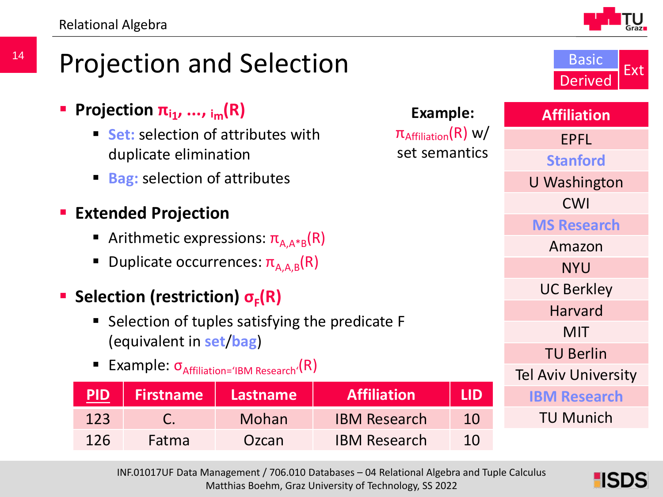

Basic

Derived Ext

### Projection and Selection

|                                           |                                            | Projection $\pi_{i_1},,\pi_{i_m}(\mathsf{R})$ |                                                          | Example:            |            | <b>Affiliation</b>  |
|-------------------------------------------|--------------------------------------------|-----------------------------------------------|----------------------------------------------------------|---------------------|------------|---------------------|
|                                           | ■ <b>Set:</b> selection of attributes with | <b>EPFL</b>                                   |                                                          |                     |            |                     |
|                                           |                                            | duplicate elimination                         |                                                          | set semantics       |            | <b>Stanford</b>     |
|                                           |                                            | <b>Bag:</b> selection of attributes           |                                                          |                     |            | <b>U</b> Washington |
|                                           |                                            | <b>CWI</b>                                    |                                                          |                     |            |                     |
|                                           |                                            | <b>Extended Projection</b>                    |                                                          |                     |            | <b>MS Research</b>  |
| Arithmetic expressions: $\pi_{A,A^*B}(R)$ |                                            |                                               |                                                          |                     | Amazon     |                     |
|                                           |                                            |                                               | ■ Duplicate occurrences: $\pi_{A.A.B}(R)$                |                     |            | <b>NYU</b>          |
|                                           |                                            | Selection (restriction) $\sigma_{\rm E}(R)$   |                                                          |                     |            | <b>UC Berkley</b>   |
|                                           |                                            |                                               | • Selection of tuples satisfying the predicate F         |                     |            | <b>Harvard</b>      |
|                                           |                                            | (equivalent in set/bag)                       |                                                          |                     |            | <b>MIT</b>          |
|                                           |                                            |                                               | <b>Example:</b> $\sigma_{Affiliation='IBM Research'}(R)$ |                     |            | <b>TU Berlin</b>    |
|                                           |                                            | <b>Tel Aviv University</b>                    |                                                          |                     |            |                     |
|                                           | <b>PID</b>                                 | <b>Firstname</b>                              | <b>Lastname</b>                                          | <b>Affiliation</b>  | <b>LID</b> | <b>IBM Research</b> |
|                                           | 123                                        | $\mathsf{C}$ .                                | Mohan                                                    | <b>IBM Research</b> | 10         | <b>TU Munich</b>    |

INF.01017UF Data Management / 706.010 Databases – 04 Relational Algebra and Tuple Calculus Matthias Boehm, Graz University of Technology, SS 2022

126 Fatma | Ozcan IBM Research 10

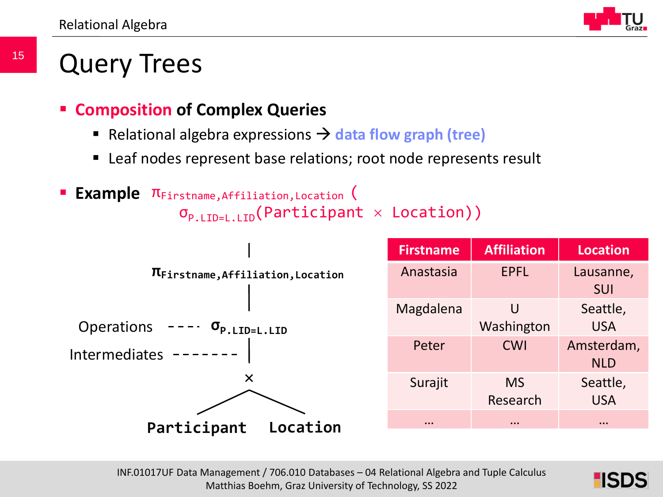### Query Trees

- **Composition of Complex Queries**
	- Relational algebra expressions  $\rightarrow$  data flow graph (tree)
	- Leaf nodes represent base relations; root node represents result



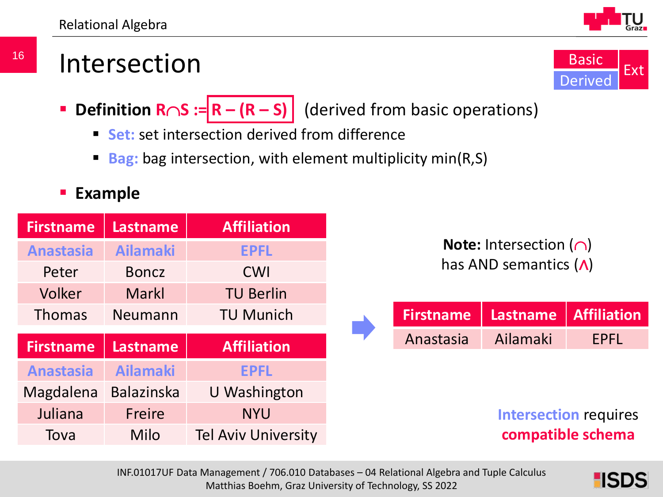

- **Definition R∩S := R (R S)** (derived from basic operations)
	- **Set:** set intersection derived from difference
	- **Bag:** bag intersection, with element multiplicity min(R,S)

#### **Example**

| <b>Firstname</b> | <b>Lastname</b>   | <b>Affiliation</b>         |
|------------------|-------------------|----------------------------|
| <b>Anastasia</b> | <b>Ailamaki</b>   | <b>EPFL</b>                |
| Peter            | <b>Boncz</b>      | <b>CWI</b>                 |
| Volker           | Markl             | <b>TU Berlin</b>           |
| <b>Thomas</b>    | Neumann           | <b>TU Munich</b>           |
| <b>Firstname</b> | <b>Lastname</b>   | <b>Affiliation</b>         |
| <b>Anastasia</b> | <b>Ailamaki</b>   | <b>EPFL</b>                |
| Magdalena        | <b>Balazinska</b> | U Washington               |
| Juliana          | Freire            | <b>NYU</b>                 |
| Tova             | Milo              | <b>Tel Aviv University</b> |

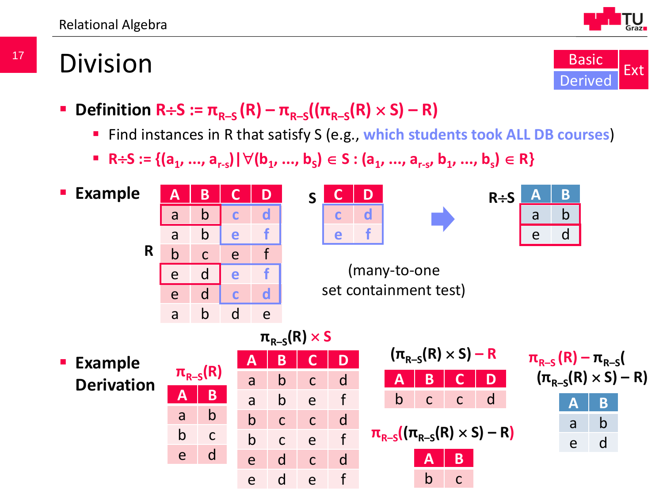

### Division

17



- **Definition R÷S :=**  $\pi_{R-S}$  **(R)**  $\pi_{R-S}$  **((** $\pi_{R-S}$ **(R) × S) R)** 
	- Find instances in R that satisfy S (e.g., **which students took ALL DB courses**)
	- **F** R÷S := { $(a_1, ..., a_{r-s})$  |  $\forall$  ( $b_1, ..., b_s$ ) ∈ S :  $(a_1, ..., a_{r-s}, b_1, ..., b_s)$  ∈ R}

**Example**



| Ć<br>L. | נ | $R \div S$ |  |
|---------|---|------------|--|
|         |   |            |  |
|         |   |            |  |





(many-to-one set containment test)

INF.01017UF Data Management / 706.010 Databases – 04 Relational Algebra and Tuple Calculus eu ei v **Example Derivation**  $\pi_{R-S}(R)$  a b c d **A B C D**  $(\pi_{R-S}(R) \times S) - R)$ **A B** a b b c e d **A B C D** a b c d a b e f b c c d b c e f e d c d e d e f  $\pi_{R-S}(R) \times S$  $(\pi_{R-S}(R) \times S) - R$ **A B C D** b c c d  $\pi_{R-S}((\pi_{R-S}(R) \times S) - R)$ **A B** b c

$$
\frac{\pi_{R-S}(R) - \pi_{R-S}(R)}{(\pi_{R-S}(R) \times S) - R}
$$
\n  
\nA B  
\na b

e d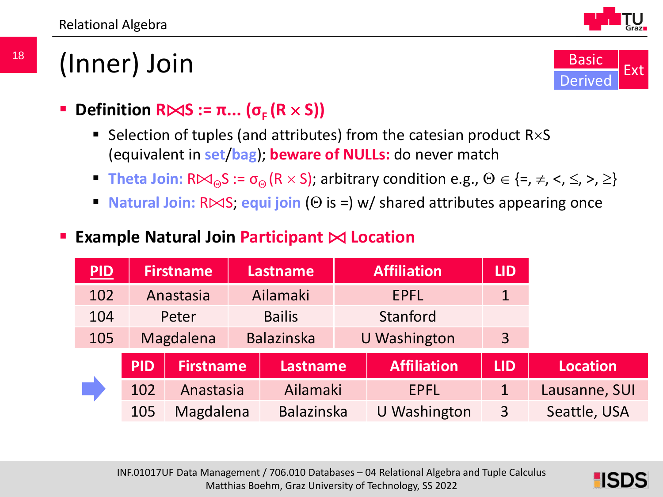### (Inner) Join



- **Definition R** $\Join$ **S** :=  $\pi$ ... ( $\sigma$ <sub>**F**</sub> (R  $\times$  S))
	- Selection of tuples (and attributes) from the catesian product  $R\times S$ (equivalent in **set**/**bag**); **beware of NULLs:** do never match
	- **Theta Join:**  $R \bowtie_{\Theta} S := \sigma_{\Theta} (R \times S)$ ; arbitrary condition e.g.,  $\Theta \in \{=, \neq, \leq, \leq, \geq\}$
	- **Natural Join:** R⊠S; equi join (Θ is =) w/ shared attributes appearing once

#### **Example Natural Join Participant** ⨝ **Location**

| PID |            | <b>Firstname</b> | <b>Affiliation</b><br><b>Lastname</b> |                     | <b>LID</b>          |             |                 |
|-----|------------|------------------|---------------------------------------|---------------------|---------------------|-------------|-----------------|
| 102 |            | Anastasia        | Ailamaki<br><b>EPFL</b>               |                     | $\mathbf 1$         |             |                 |
| 104 |            | Peter            | Stanford<br><b>Bailis</b>             |                     |                     |             |                 |
| 105 |            | Magdalena        | <b>Balazinska</b>                     | <b>U</b> Washington |                     | 3           |                 |
|     | <b>PID</b> | Firstname        | <b>Lastname</b>                       |                     | <b>Affiliation</b>  | <b>LID</b>  | <b>Location</b> |
|     | 102        | Anastasia        | Ailamaki                              |                     | <b>EPFL</b>         | $\mathbf 1$ | Lausanne, SUI   |
|     | 105        | Magdalena        | <b>Balazinska</b>                     |                     | <b>U</b> Washington | 3           | Seattle, USA    |

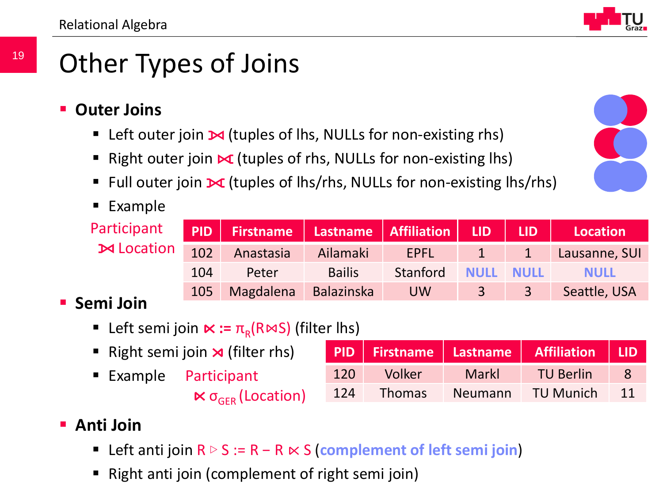### Other Types of Joins

- **Outer Joins**
	- **EXECT** Left outer join  $\mathbf{M}$  (tuples of lhs, NULLs for non-existing rhs)
	- Right outer join  $\mathbf x$  (tuples of rhs, NULLs for non-existing lhs)
	- Full outer join  $\mathbf{\times}$  (tuples of lhs/rhs, NULLs for non-existing lhs/rhs)
	- **Example**

Participant **M** Location

|     | PID   Firstname   Lastname   Affiliation |               |           | LID          | <b>ALIDA</b> | Location      |
|-----|------------------------------------------|---------------|-----------|--------------|--------------|---------------|
| 102 | Anastasia                                | Ailamaki      | EPFL      | $\mathbf{1}$ | 1            | Lausanne, SUI |
| 104 | Peter                                    | <b>Bailis</b> | Stanford  | <b>NULL</b>  | <b>NULL</b>  | <b>NULL</b>   |
| 105 | Magdalena                                | Balazinska    | <b>UW</b> | $\mathbf{3}$ | $-3$         | Seattle, USA  |
|     |                                          |               |           |              |              |               |

#### **Semi Join**

- **■** Left semi join  $\kappa := \pi_{\rm R}(\mathsf{R}\bowtie S)$  (filter lhs)
- Right semi join  $\lambda$  (filter rhs)
- $\blacksquare$  Example Participant  $\ltimes$   $\sigma$ <sub>GER</sub> (Location)

|     |               |              | PID Firstname Lastname Affiliation LID |    |
|-----|---------------|--------------|----------------------------------------|----|
| 120 | Volker        | <b>Markl</b> | <b>TU Berlin</b>                       | -8 |
| 124 | <b>Thomas</b> | Neumann      | <b>TU Munich</b>                       | 11 |

#### **Anti Join**

- Left anti join R ▷ S := R − R ⋉ S (**complement of left semi join**)
- **Right anti join (complement of right semi join)**  $\mathcal{M}$  Matthias Boehm, Graz University of Technology, SS 2022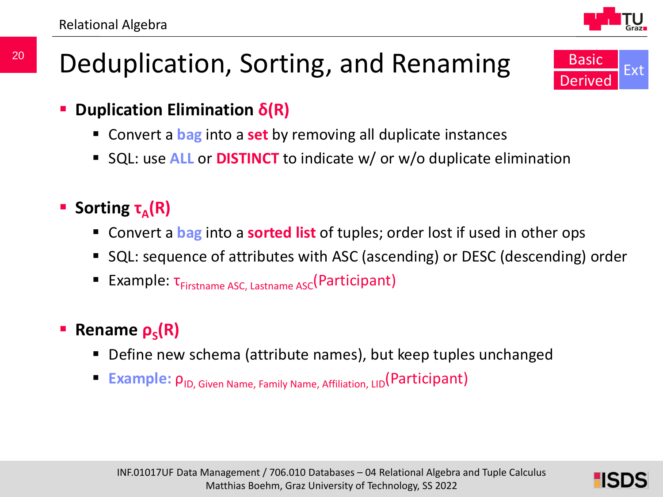### Deduplication, Sorting, and Renaming



- Convert a **bag** into a **set** by removing all duplicate instances
- SQL: use **ALL** or **DISTINCT** to indicate w/ or w/o duplicate elimination
- **F** Sorting **τ**<sub>A</sub>(R)
	- Convert a **bag** into a **sorted list** of tuples; order lost if used in other ops
	- SQL: sequence of attributes with ASC (ascending) or DESC (descending) order
	- Example: τ<sub>Firstname ASC, Lastname ASC</sub>(Participant)

#### **Rename**  $\rho_s(R)$

- Define new schema (attribute names), but keep tuples unchanged
- **Example:**  $\rho_{ID, Given Name, Family Name, Affilation, LID(Participant)$

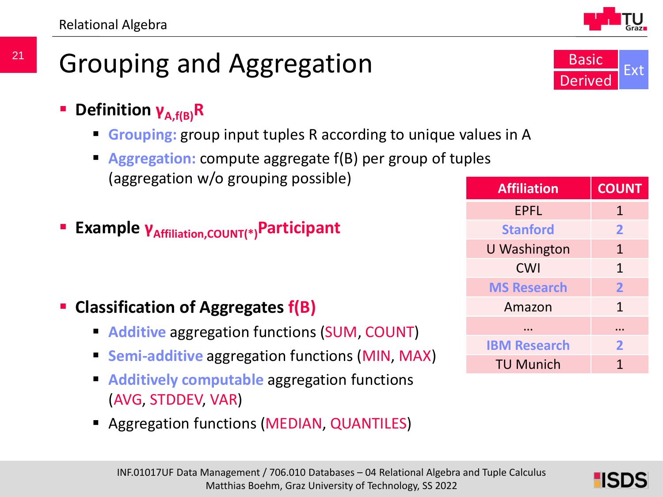- Grouping and Aggregation
	- **Definition γA,f(B)R**
		- **Grouping:** group input tuples R according to unique values in A
		- **Aggregation:** compute aggregate f(B) per group of tuples (aggregation w/o grouping possible)
	- **Example γ**<sub>Affiliation, COUNT(\*)</sub> Participant

- **Classification of Aggregates f(B)**
	- **Additive** aggregation functions (SUM, COUNT)
	- **Semi-additive** aggregation functions (MIN, MAX)
	- **Additively computable** aggregation functions (AVG, STDDEV, VAR)
	- **Aggregation functions (MEDIAN, QUANTILES)**



| <b>Affiliation</b>  | <b>COUNT</b>   |
|---------------------|----------------|
| <b>EPFL</b>         | $\mathbf{1}$   |
| <b>Stanford</b>     | $\overline{2}$ |
| U Washington        | $\mathbf{1}$   |
| <b>CWI</b>          | $\mathbf{1}$   |
| <b>MS Research</b>  | $\overline{2}$ |
| Amazon              | $\mathbf{1}$   |
|                     |                |
| <b>IBM Research</b> | 2              |
| <b>TU Munich</b>    |                |



2 SL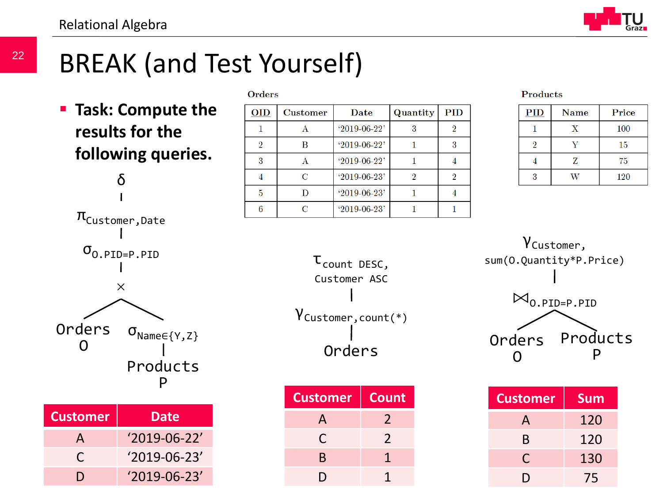## BREAK (and Test Yourself)

**Task: Compute the results for the following queries.** δ





 $\mathbf{\Omega}$  $\sigma_{\text{Name}\in\{Y,Z\}}$ Products P

| <b>Customer</b> | Date               |
|-----------------|--------------------|
| A               | $'2019-06-22'$     |
| C               | $'2019-06-23'$     |
| וו              | $'2019 - 06 - 23'$ |

| <b>Orders</b>  |                 |                |          |            |
|----------------|-----------------|----------------|----------|------------|
| <b>OID</b>     | <b>Customer</b> | Date           | Quantity | <b>PID</b> |
|                | А               | $'2019-06-22'$ | 3        |            |
| $\overline{2}$ | R               | $'2019-06-22'$ |          |            |
| 3              |                 | $'2019-06-22'$ |          |            |
| 4              | C               | $'2019-06-23'$ | 9        |            |
| 5              |                 | $'2019-06-23'$ |          |            |
| 6              | ∩               | $'2019-06-23'$ |          |            |

**Products** 

| <b>PID</b> | <b>Name</b> | Price |
|------------|-------------|-------|
|            | X           | 100   |
| 9          |             | 15    |
|            | Z           | 75    |
| २          |             | 120   |



|                | <b>Customer</b> | Count | <b>Custom</b> |
|----------------|-----------------|-------|---------------|
| <b>Date</b>    |                 |       |               |
| $'2019-06-22'$ |                 |       |               |
| $'2019-06-23'$ | R               |       |               |
| $'2019-06-23'$ |                 |       |               |



| <b>Customer</b> | <b>Sum</b> |
|-----------------|------------|
| A               | 120        |
| B               | 120        |
| C               | 130        |
|                 | 75         |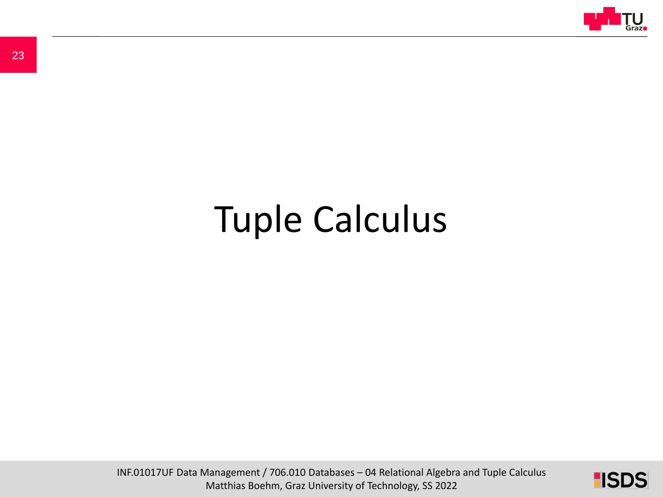

# Tuple Calculus

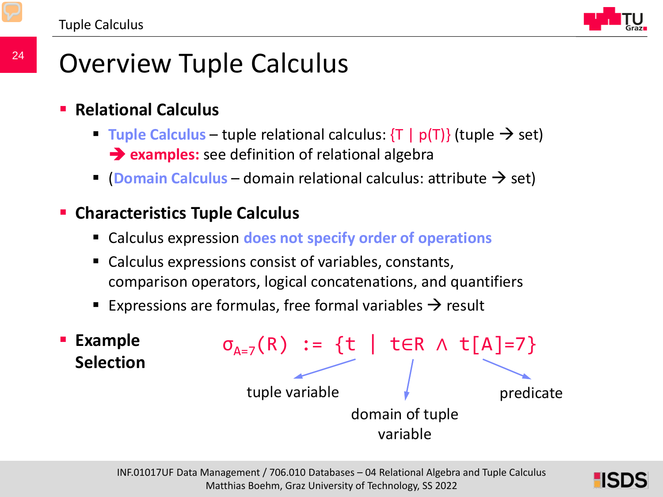

### Overview Tuple Calculus

- **Relational Calculus**
	- **Tuple Calculus** tuple relational calculus:  $\{T \mid p(T)\}$  (tuple  $\rightarrow$  set) **examples:** see definition of relational algebra
	- **(Domain Calculus** domain relational calculus: attribute  $\rightarrow$  set)

#### **Characteristics Tuple Calculus**

- Calculus expression **does not specify order of operations**
- Calculus expressions consist of variables, constants, comparison operators, logical concatenations, and quantifiers
- **Expressions are formulas, free formal variables**  $\rightarrow$  **result**



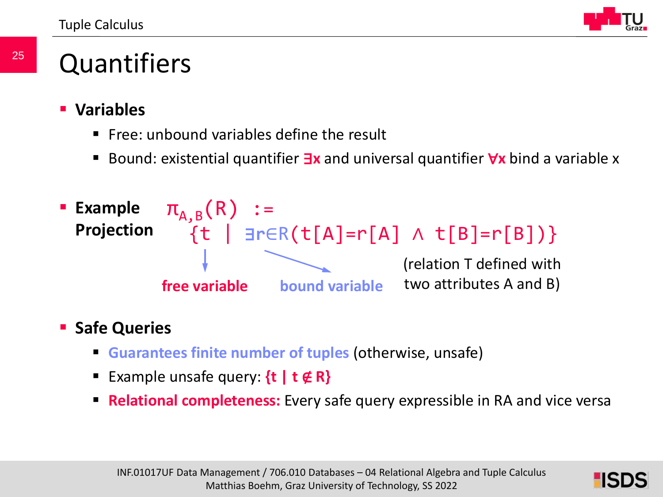Tuple Calculus



### **Quantifiers**

- **Variables**
	- Free: unbound variables define the result
	- Bound: existential quantifier ∃**x** and universal quantifier ∀**x** bind a variable x



#### **Safe Queries**

- **Guarantees finite number of tuples** (otherwise, unsafe)
- Example unsafe query: **{t | t** ∉ **R}**
- **Relational completeness:** Every safe query expressible in RA and vice versa

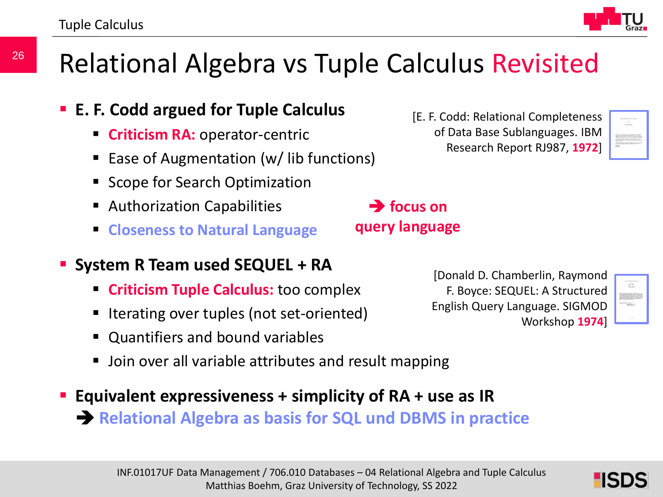### Relational Algebra vs Tuple Calculus Revisited

**focus on** 

**query language**

- **E. F. Codd argued for Tuple Calculus**
	- **Criticism RA: operator-centric**
	- Ease of Augmentation (w/ lib functions)
	- Scope for Search Optimization
	- Authorization Capabilities
	- **Closeness to Natural Language**
- **System R Team used SEQUEL + RA** 
	- **Criticism Tuple Calculus:** too complex
	- Iterating over tuples (not set-oriented)
	- **D** Quantifiers and bound variables
	- **Deta** Join over all variable attributes and result mapping
- **Equivalent expressiveness + simplicity of RA + use as IR Relational Algebra as basis for SQL und DBMS in practice**



[E. F. Codd: Relational Completeness

of Data Base Sublanguages. IBM Research Report RJ987, **1972**]



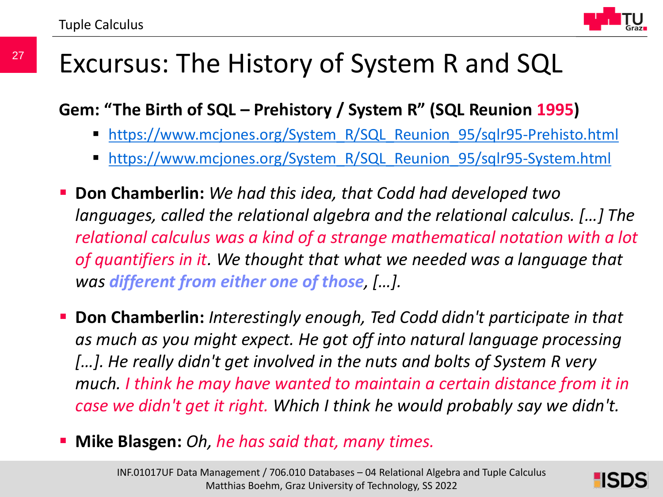

### Excursus: The History of System R and SQL

**Gem: "The Birth of SQL – Prehistory / System R" (SQL Reunion 1995)**

- [https://www.mcjones.org/System\\_R/SQL\\_Reunion\\_95/sqlr95-Prehisto.html](https://www.mcjones.org/System_R/SQL_Reunion_95/sqlr95-System.html)
- [https://www.mcjones.org/System\\_R/SQL\\_Reunion\\_95/sqlr95-System.html](https://www.mcjones.org/System_R/SQL_Reunion_95/sqlr95-System.html)
- **Don Chamberlin:** *We had this idea, that Codd had developed two languages, called the relational algebra and the relational calculus. […] The relational calculus was a kind of a strange mathematical notation with a lot of quantifiers in it. We thought that what we needed was a language that was different from either one of those, […].*
- **Don Chamberlin:** *Interestingly enough, Ted Codd didn't participate in that as much as you might expect. He got off into natural language processing […]. He really didn't get involved in the nuts and bolts of System R very much. I think he may have wanted to maintain a certain distance from it in case we didn't get it right. Which I think he would probably say we didn't.*
- **Mike Blasgen:** *Oh, he has said that, many times.*

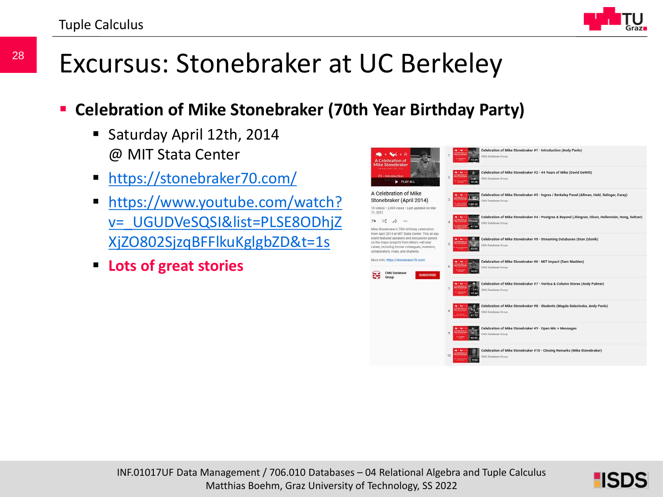

### Excursus: Stonebraker at UC Berkeley

#### **Celebration of Mike Stonebraker (70th Year Birthday Party)**

- Saturday April 12th, 2014 @ MIT Stata Center
- [https://stonebraker70.com/](https://www.youtube.com/redirect?event=video_description&redir_token=QUFFLUhqbjhaQWszaGNIVklITnpOME9OSV9OM0Mwa2p6QXxBQ3Jtc0ttUGJDdGthMHh1cTZ6UnNHdm9rYVF5OGxvVVdoUktmcnZOSGdsUjdlN1lTNHZBNEYwQjNVZW9wMGUxRlliS1daYzNodGpIbG10R2NubzZ0RFRjaFFwZHBWNm5aV0toQWpYMklET0xMd3RCeVV6TFN4bw&q=https://stonebraker70.com/)
- **https://www.youtube.com/watch?** [v=\\_UGUDVeSQSI&list=PLSE8ODhjZ](https://www.youtube.com/watch?v=_UGUDVeSQSI&list=PLSE8ODhjZXjZO802SjzqBFFlkuKglgbZD&t=1s) XjZO802SjzqBFFlkuKglgbZD&t=1s
- **Lots of great stories**



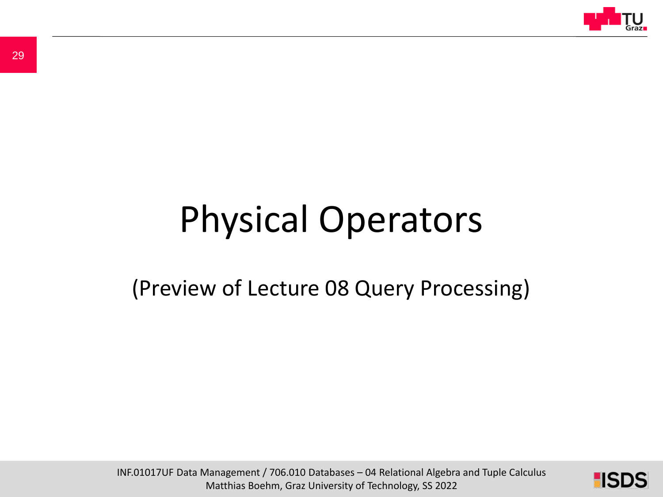

# Physical Operators

### (Preview of Lecture 08 Query Processing)

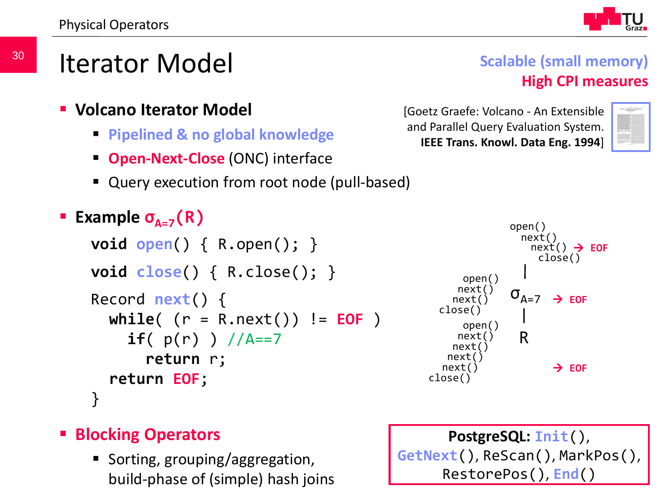

- **Volcano Iterator Model**
	- **Pipelined & no global knowledge**
	- **Open-Next-Close** (ONC) interface
	- Query execution from root node (pull-based)

```
Example \sigma_{A=7}(R)void open() { R.open(); }
void close() { R.close(); }
Record next() {
  while( (r = R.next()) != EOF )
     if( p(r) ) / A == 7return r;
  return EOF;
}
```


#### **Blocking Operators**

 $II$ build-phase of (simple) hash joins  $\sqrt{1-\frac{R\epsilon}{a}}$ ■ Sorting, grouping/aggregation,

**PostgreSQL: Init**(), **GetNext**(), ReScan(), MarkPos(), RestorePos(), **End**()

#### **Scalable (small memory) High CPI measures**

[Goetz Graefe: Volcano - An Extensible and Parallel Query Evaluation System. **IEEE Trans. Knowl. Data Eng. 1994**]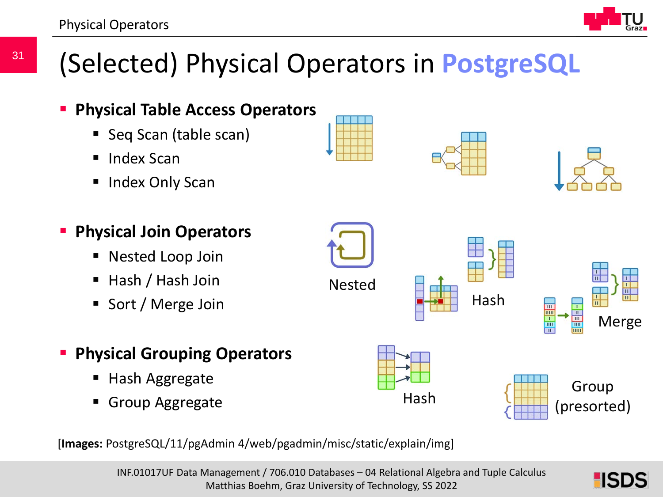

## (Selected) Physical Operators in **PostgreSQL**



[**Images:** PostgreSQL/11/pgAdmin 4/web/pgadmin/misc/static/explain/img]

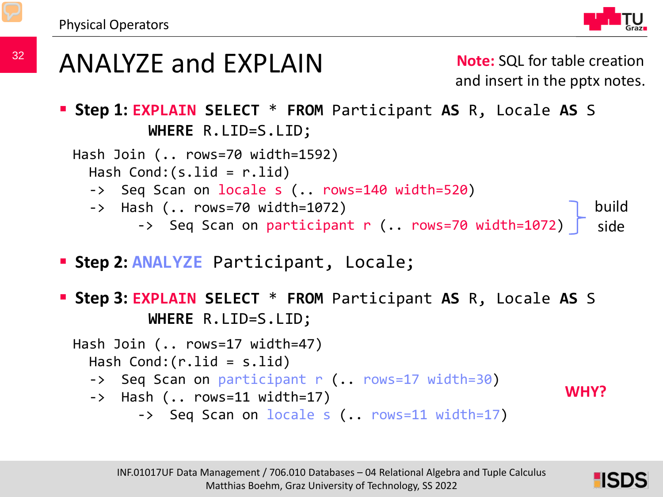

### ANALYZE and EXPLAIN

**Note:** SQL for table creation and insert in the pptx notes.

 **Step 1: EXPLAIN SELECT** \* **FROM** Participant **AS** R, Locale **AS** S **WHERE** R.LID=S.LID;

Hash Join (.. rows=70 width=1592) Hash Cond:(s.lid = r.lid) -> Seq Scan on locale s (.. rows=140 width=520) -> Hash (.. rows=70 width=1072) -> Seq Scan on participant r (.. rows=70 width=1072) build side

**Step 2: ANALYZE** Participant, Locale;

 **Step 3: EXPLAIN SELECT** \* **FROM** Participant **AS** R, Locale **AS** S **WHERE** R.LID=S.LID;

Hash Join (.. rows=17 width=47) Hash Cond:(r.lid = s.lid) -> Seq Scan on participant r (.. rows=17 width=30) -> Hash (.. rows=11 width=17) -> Seq Scan on locale s (.. rows=11 width=17)



**WHY?**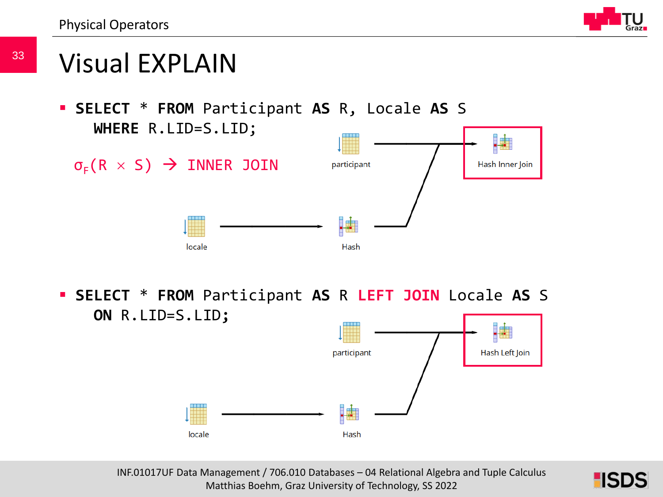Physical Operators



### Visual EXPLAIN

 **SELECT** \* **FROM** Participant **AS** R, Locale **AS** S **WHERE** R.LID=S.LID;



 **SELECT** \* **FROM** Participant **AS** R **LEFT JOIN** Locale **AS** S **ON** R.LID=S.LID**;**